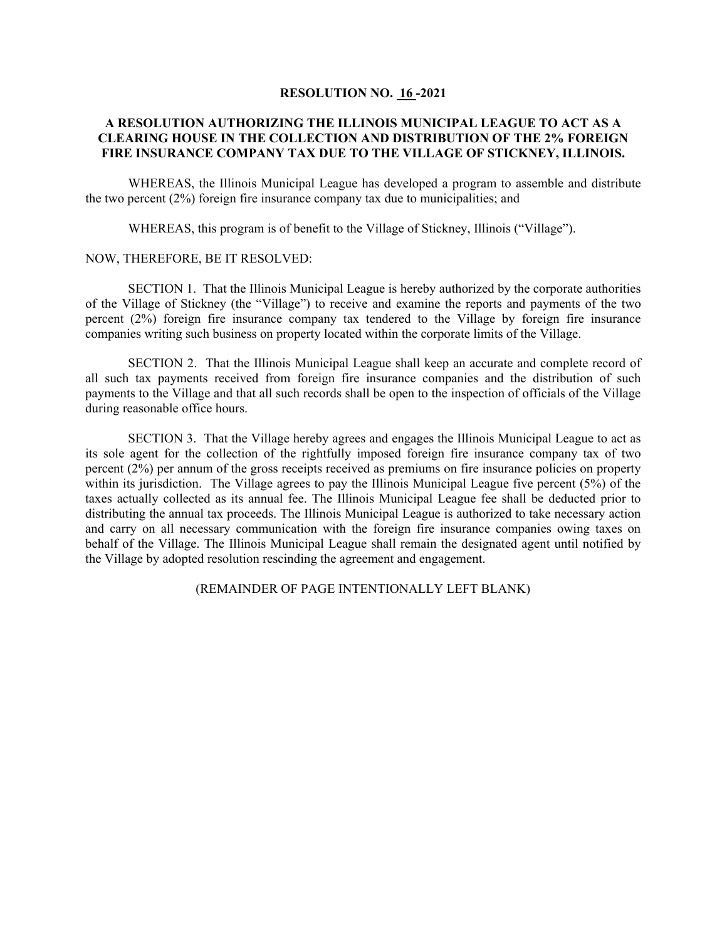## **RESOLUTION NO. 16 -2021**

## **A RESOLUTION AUTHORIZING THE ILLINOIS MUNICIPAL LEAGUE TO ACT AS A CLEARING HOUSE IN THE COLLECTION AND DISTRIBUTION OF THE 2% FOREIGN FIRE INSURANCE COMPANY TAX DUE TO THE VILLAGE OF STICKNEY, ILLINOIS.**

WHEREAS, the Illinois Municipal League has developed a program to assemble and distribute the two percent (2%) foreign fire insurance company tax due to municipalities; and

WHEREAS, this program is of benefit to the Village of Stickney, Illinois ("Village").

## NOW, THEREFORE, BE IT RESOLVED:

SECTION 1. That the Illinois Municipal League is hereby authorized by the corporate authorities of the Village of Stickney (the "Village") to receive and examine the reports and payments of the two percent (2%) foreign fire insurance company tax tendered to the Village by foreign fire insurance companies writing such business on property located within the corporate limits of the Village.

SECTION 2. That the Illinois Municipal League shall keep an accurate and complete record of all such tax payments received from foreign fire insurance companies and the distribution of such payments to the Village and that all such records shall be open to the inspection of officials of the Village during reasonable office hours.

SECTION 3. That the Village hereby agrees and engages the Illinois Municipal League to act as its sole agent for the collection of the rightfully imposed foreign fire insurance company tax of two percent (2%) per annum of the gross receipts received as premiums on fire insurance policies on property within its jurisdiction. The Village agrees to pay the Illinois Municipal League five percent (5%) of the taxes actually collected as its annual fee. The Illinois Municipal League fee shall be deducted prior to distributing the annual tax proceeds. The Illinois Municipal League is authorized to take necessary action and carry on all necessary communication with the foreign fire insurance companies owing taxes on behalf of the Village. The Illinois Municipal League shall remain the designated agent until notified by the Village by adopted resolution rescinding the agreement and engagement.

(REMAINDER OF PAGE INTENTIONALLY LEFT BLANK)